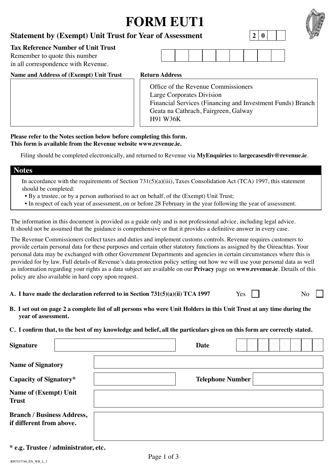# **FORM EUT1**

# **Statement by (Exempt) Unit Trust for Year of Assessment**

### **Tax Reference Number of Unit Trust**

Remember to quote this number in all correspondence with Revenue.

### **Name and Address of (Exempt) Unit Trust Return Address**

Office of the Revenue Commissioners Large Corporates Division Financial Services (Financing and Investment Funds) Branch Geata na Cathrach, Fairgreen, Galway H91 W36K

### **Please refer to the Notes section below before completing this form. This form is available from the Revenue website [www.revenue.ie](https://www.revenue.ie).**

Filing should be completed electronically, and returned to Revenue via **[MyEnquiries](https://www.revenue.ie/en/online-services/services/manage-your-record/myenquiries.aspx)** to **[largecasesdiv@revenue.ie](Mailto:largecasesdiv@revenue.ie)**.

### **Notes**

In accordance with the requirements of Section 731(5)(a)(iii), Taxes Consolidation Act (TCA) 1997, this statement should be completed:

- By a trustee, or by a person authorised to act on behalf, of the (Exempt) Unit Trust;
- In respect of each year of assessment, on or before 28 February in the year following the year of assessment.

The information in this document is provided as a guide only and is not professional advice, including legal advice. It should not be assumed that the guidance is comprehensive or that it provides a definitive answer in every case.

The Revenue Commissioners collect taxes and duties and implement customs controls. Revenue requires customers to provide certain personal data for these purposes and certain other statutory functions as assigned by the Oireachtas. Your personal data may be exchanged with other Government Departments and agencies in certain circumstances where this is provided for by law. Full details of Revenue's data protection policy setting out how we will use your personal data as well as information regarding your rights as a data subject are available on our **[Privacy](https://www.revenue.ie/en/online-services/support/data-and-security/privacy/index.aspx)** page on **[www.revenue.ie](https://www.revenue.ie/en/online-services/support/data-and-security/privacy/index.aspx)**. Details of this policy are also available in hard copy upon request.

**A. I have made the declaration referred to in Section 731(5)(a)(ii) TCA 1997** Yes No

**B. I set out on page 2 a complete list of all persons who were Unit Holders in this Unit Trust at any time during the year of assessment.**

### **C. I confirm that, to the best of my knowledge and belief, all the particulars given on this form are correctly stated.**

| <b>Signature</b>                                              | Date | D                       | $M_{\odot}$ $M_{\odot}$<br>D <sub>1</sub> |  |
|---------------------------------------------------------------|------|-------------------------|-------------------------------------------|--|
| <b>Name of Signatory</b>                                      |      |                         |                                           |  |
| <b>Capacity of Signatory*</b>                                 |      | <b>Telephone Number</b> |                                           |  |
| <b>Name of (Exempt) Unit</b><br><b>Trust</b>                  |      |                         |                                           |  |
| <b>Branch / Business Address,</b><br>if different from above. |      |                         |                                           |  |

**\* e.g. Trustee / administrator, etc.**



**2** | **0**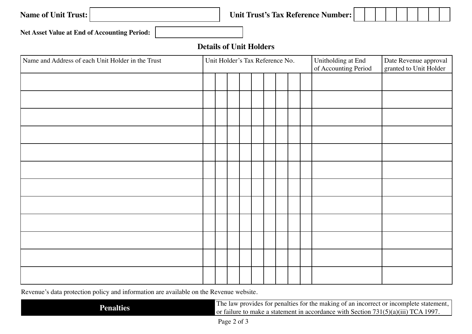| <b>Name of Unit Trust:</b> |  |  |
|----------------------------|--|--|
|----------------------------|--|--|

**Unit Trust's Tax Reference Number:**



**Net Asset Value at End of Accounting Period:**

## **Details of Unit Holders**

| Name and Address of each Unit Holder in the Trust | Unit Holder's Tax Reference No. |  |  |  |  |  |  |  |  | Unitholding at End<br>of Accounting Period | Date Revenue approval<br>granted to Unit Holder |  |  |
|---------------------------------------------------|---------------------------------|--|--|--|--|--|--|--|--|--------------------------------------------|-------------------------------------------------|--|--|
|                                                   |                                 |  |  |  |  |  |  |  |  |                                            |                                                 |  |  |
|                                                   |                                 |  |  |  |  |  |  |  |  |                                            |                                                 |  |  |
|                                                   |                                 |  |  |  |  |  |  |  |  |                                            |                                                 |  |  |
|                                                   |                                 |  |  |  |  |  |  |  |  |                                            |                                                 |  |  |
|                                                   |                                 |  |  |  |  |  |  |  |  |                                            |                                                 |  |  |
|                                                   |                                 |  |  |  |  |  |  |  |  |                                            |                                                 |  |  |
|                                                   |                                 |  |  |  |  |  |  |  |  |                                            |                                                 |  |  |
|                                                   |                                 |  |  |  |  |  |  |  |  |                                            |                                                 |  |  |
|                                                   |                                 |  |  |  |  |  |  |  |  |                                            |                                                 |  |  |
|                                                   |                                 |  |  |  |  |  |  |  |  |                                            |                                                 |  |  |
|                                                   |                                 |  |  |  |  |  |  |  |  |                                            |                                                 |  |  |
|                                                   |                                 |  |  |  |  |  |  |  |  |                                            |                                                 |  |  |

Revenue's data protection policy and information are available on the Revenue website.

| <b>Penalties</b> | The law provides for penalties for the making of an incorrect or incomplete statement, I |
|------------------|------------------------------------------------------------------------------------------|
|                  | or failure to make a statement in accordance with Section $731(5)(a)(iii) TCA 1997$ .    |
|                  | Page 2 of 3                                                                              |